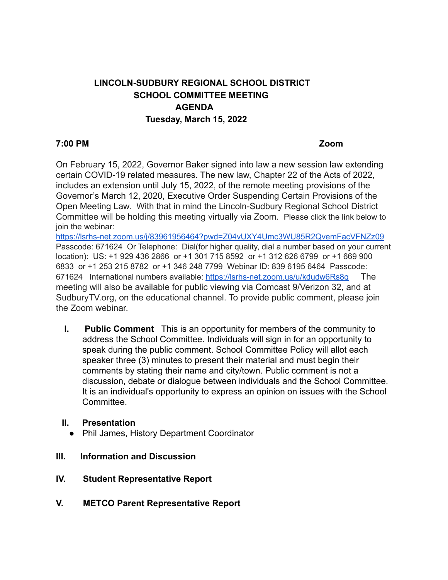# **LINCOLN-SUDBURY REGIONAL SCHOOL DISTRICT SCHOOL COMMITTEE MEETING AGENDA Tuesday, March 15, 2022**

#### **7:00 PM Zoom**

On February 15, 2022, Governor Baker signed into law a new session law extending certain COVID-19 related measures. The new law, Chapter 22 of the Acts of 2022, includes an extension until July 15, 2022, of the remote meeting provisions of the Governor's March 12, 2020, Executive Order Suspending Certain Provisions of the Open Meeting Law. With that in mind the Lincoln-Sudbury Regional School District Committee will be holding this meeting virtually via Zoom. Please click the link below to join the webinar:

<https://lsrhs-net.zoom.us/j/83961956464?pwd=Z04vUXY4Umc3WU85R2QvemFacVFNZz09> Passcode: 671624 Or Telephone: Dial(for higher quality, dial a number based on your current location): US: +1 929 436 2866 or +1 301 715 8592 or +1 312 626 6799 or +1 669 900 6833 or +1 253 215 8782 or +1 346 248 7799 Webinar ID: 839 6195 6464 Passcode: 671624 International numbers available: <https://lsrhs-net.zoom.us/u/kdudw6Rs8q> The meeting will also be available for public viewing via Comcast 9/Verizon 32, and at SudburyTV.org, on the educational channel. To provide public comment, please join the Zoom webinar.

**I. Public Comment** This is an opportunity for members of the community to address the School Committee. Individuals will sign in for an opportunity to speak during the public comment. School Committee Policy will allot each speaker three (3) minutes to present their material and must begin their comments by stating their name and city/town. Public comment is not a discussion, debate or dialogue between individuals and the School Committee. It is an individual's opportunity to express an opinion on issues with the School **Committee.** 

#### **II. Presentation**

- Phil James, History Department Coordinator
- **III. Information and Discussion**
- **IV. Student Representative Report**
- **V. METCO Parent Representative Report**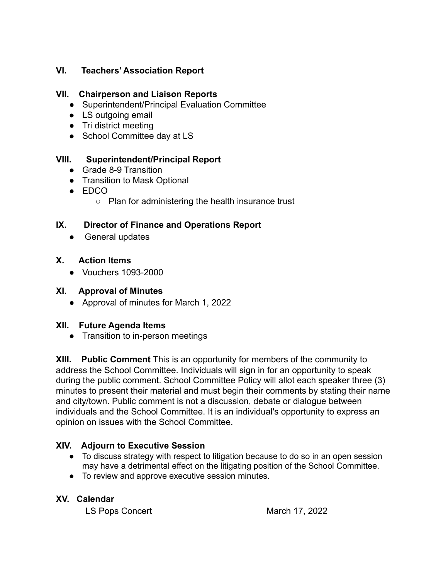#### **VI. Teachers' Association Report**

# **VII. Chairperson and Liaison Reports**

- Superintendent/Principal Evaluation Committee
- LS outgoing email
- Tri district meeting
- School Committee day at LS

## **VIII. Superintendent/Principal Report**

- Grade 8-9 Transition
- Transition to Mask Optional
- $\bullet$  FDCO
	- Plan for administering the health insurance trust

## **IX. Director of Finance and Operations Report**

• General updates

## **X. Action Items**

● Vouchers 1093-2000

#### **XI. Approval of Minutes**

● Approval of minutes for March 1, 2022

#### **XII. Future Agenda Items**

● Transition to in-person meetings

**XIII. Public Comment** This is an opportunity for members of the community to address the School Committee. Individuals will sign in for an opportunity to speak during the public comment. School Committee Policy will allot each speaker three (3) minutes to present their material and must begin their comments by stating their name and city/town. Public comment is not a discussion, debate or dialogue between individuals and the School Committee. It is an individual's opportunity to express an opinion on issues with the School Committee.

# **XIV. Adjourn to Executive Session**

- To discuss strategy with respect to litigation because to do so in an open session may have a detrimental effect on the litigating position of the School Committee.
- To review and approve executive session minutes.

#### **XV. Calendar**

LS Pops Concert March 17, 2022